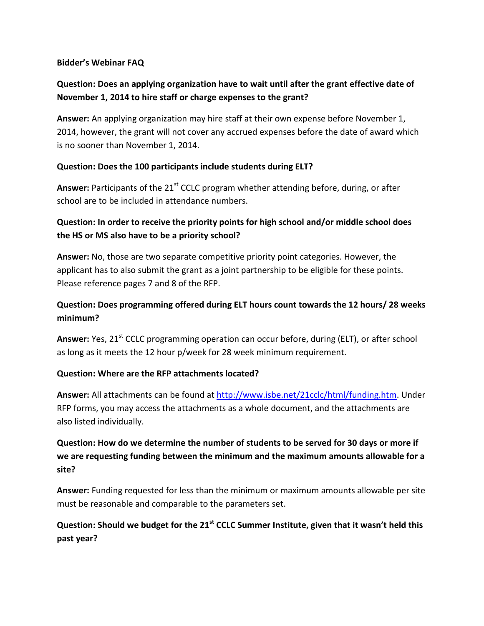#### **Bidder's Webinar FAQ**

# **Question: Does an applying organization have to wait until after the grant effective date of November 1, 2014 to hire staff or charge expenses to the grant?**

**Answer:** An applying organization may hire staff at their own expense before November 1, 2014, however, the grant will not cover any accrued expenses before the date of award which is no sooner than November 1, 2014.

### **Question: Does the 100 participants include students during ELT?**

Answer: Participants of the 21<sup>st</sup> CCLC program whether attending before, during, or after school are to be included in attendance numbers.

### **Question: In order to receive the priority points for high school and/or middle school does the HS or MS also have to be a priority school?**

**Answer:** No, those are two separate competitive priority point categories. However, the applicant has to also submit the grant as a joint partnership to be eligible for these points. Please reference pages 7 and 8 of the RFP.

# **Question: Does programming offered during ELT hours count towards the 12 hours/ 28 weeks minimum?**

Answer: Yes, 21<sup>st</sup> CCLC programming operation can occur before, during (ELT), or after school as long as it meets the 12 hour p/week for 28 week minimum requirement.

### **Question: Where are the RFP attachments located?**

**Answer:** All attachments can be found at [http://www.isbe.net/21cclc/html/funding.htm.](http://www.isbe.net/21cclc/html/funding.htm) Under RFP forms, you may access the attachments as a whole document, and the attachments are also listed individually.

# **Question: How do we determine the number of students to be served for 30 days or more if we are requesting funding between the minimum and the maximum amounts allowable for a site?**

**Answer:** Funding requested for less than the minimum or maximum amounts allowable per site must be reasonable and comparable to the parameters set.

# **Question: Should we budget for the 21st CCLC Summer Institute, given that it wasn't held this past year?**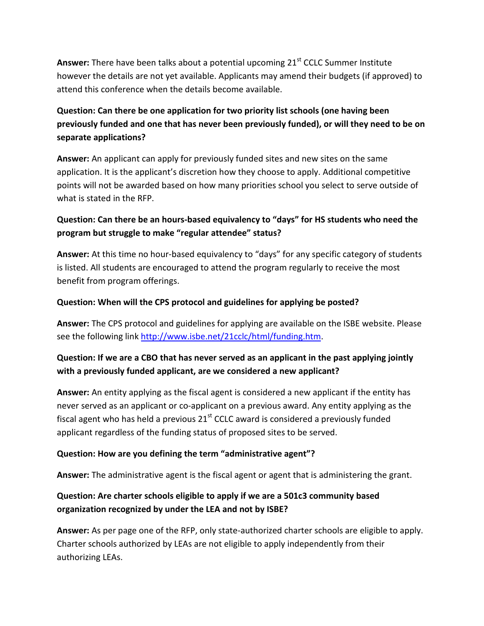Answer: There have been talks about a potential upcoming 21<sup>st</sup> CCLC Summer Institute however the details are not yet available. Applicants may amend their budgets (if approved) to attend this conference when the details become available.

# **Question: Can there be one application for two priority list schools (one having been previously funded and one that has never been previously funded), or will they need to be on separate applications?**

**Answer:** An applicant can apply for previously funded sites and new sites on the same application. It is the applicant's discretion how they choose to apply. Additional competitive points will not be awarded based on how many priorities school you select to serve outside of what is stated in the RFP.

# **Question: Can there be an hours-based equivalency to "days" for HS students who need the program but struggle to make "regular attendee" status?**

**Answer:** At this time no hour-based equivalency to "days" for any specific category of students is listed. All students are encouraged to attend the program regularly to receive the most benefit from program offerings.

### **Question: When will the CPS protocol and guidelines for applying be posted?**

**Answer:** The CPS protocol and guidelines for applying are available on the ISBE website. Please see the following link [http://www.isbe.net/21cclc/html/funding.htm.](http://www.isbe.net/21cclc/html/funding.htm)

# **Question: If we are a CBO that has never served as an applicant in the past applying jointly with a previously funded applicant, are we considered a new applicant?**

**Answer:** An entity applying as the fiscal agent is considered a new applicant if the entity has never served as an applicant or co-applicant on a previous award. Any entity applying as the fiscal agent who has held a previous  $21<sup>st</sup>$  CCLC award is considered a previously funded applicant regardless of the funding status of proposed sites to be served.

### **Question: How are you defining the term "administrative agent"?**

**Answer:** The administrative agent is the fiscal agent or agent that is administering the grant.

# **Question: Are charter schools eligible to apply if we are a 501c3 community based organization recognized by under the LEA and not by ISBE?**

**Answer:** As per page one of the RFP, only state-authorized charter schools are eligible to apply. Charter schools authorized by LEAs are not eligible to apply independently from their authorizing LEAs.